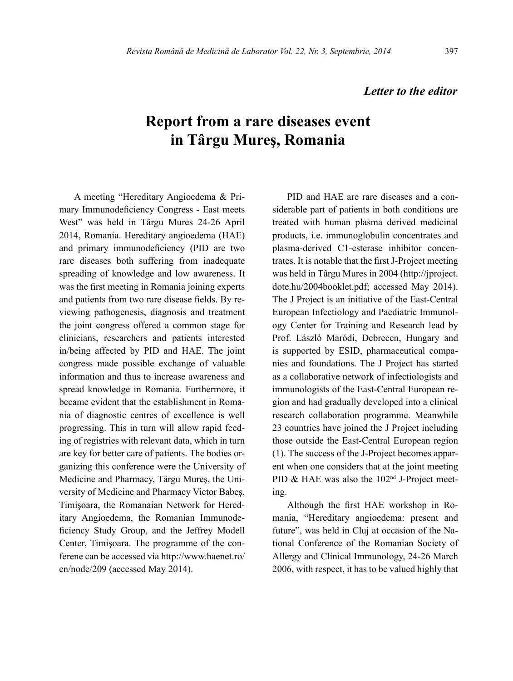## *Letter to the editor*

## **Report from a rare diseases event in Târgu Mureş, Romania**

A meeting "Hereditary Angioedema & Primary Immunodeficiency Congress - East meets West" was held in Târgu Mures 24-26 April 2014, Romania. Hereditary angioedema (HAE) and primary immunodeficiency (PID are two rare diseases both suffering from inadequate spreading of knowledge and low awareness. It was the first meeting in Romania joining experts and patients from two rare disease fields. By reviewing pathogenesis, diagnosis and treatment the joint congress offered a common stage for clinicians, researchers and patients interested in/being affected by PID and HAE. The joint congress made possible exchange of valuable information and thus to increase awareness and spread knowledge in Romania. Furthermore, it became evident that the establishment in Romania of diagnostic centres of excellence is well progressing. This in turn will allow rapid feeding of registries with relevant data, which in turn are key for better care of patients. The bodies organizing this conference were the University of Medicine and Pharmacy, Târgu Mureş, the University of Medicine and Pharmacy Victor Babeş, Timişoara, the Romanaian Network for Hereditary Angioedema, the Romanian Immunodeficiency Study Group, and the Jeffrey Modell Center, Timişoara. The programme of the conferene can be accessed via http://www.haenet.ro/ en/node/209 (accessed May 2014).

PID and HAE are rare diseases and a considerable part of patients in both conditions are treated with human plasma derived medicinal products, i.e. immunoglobulin concentrates and plasma-derived C1-esterase inhibitor concentrates. It is notable that the first J-Project meeting was held in Târgu Mures in 2004 ([http://jproject.](http://jproject.dote.hu/2004booklet.pdf) [dote.hu/2004booklet.pdf;](http://jproject.dote.hu/2004booklet.pdf) accessed May 2014). The J Project is an initiative of the East-Central European Infectiology and Paediatric Immunology Center for Training and Research lead by Prof. László Maródi, Debrecen, Hungary and is supported by ESID, pharmaceutical companies and foundations. The J Project has started as a collaborative network of infectiologists and immunologists of the East-Central European region and had gradually developed into a clinical research collaboration programme. Meanwhile 23 countries have joined the J Project including those outside the East-Central European region (1). The success of the J-Project becomes apparent when one considers that at the joint meeting PID & HAE was also the 102<sup>nd</sup> J-Project meeting.

Although the first HAE workshop in Romania, "Hereditary angioedema: present and future", was held in Cluj at occasion of the National Conference of the Romanian Society of Allergy and Clinical Immunology, 24-26 March 2006, with respect, it has to be valued highly that